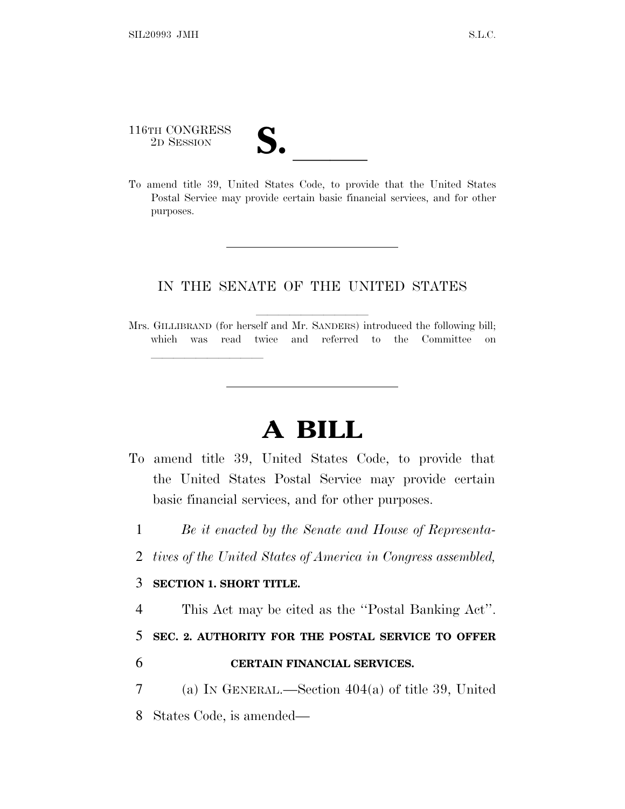116TH CONGRESS 116TH CONGRESS<br>
2D SESSION<br>
To amend title 39, United States Code, to provide that the United States

<u>llille som starte som starte som starte som s</u>

Postal Service may provide certain basic financial services, and for other purposes.

## IN THE SENATE OF THE UNITED STATES

Mrs. GILLIBRAND (for herself and Mr. SANDERS) introduced the following bill; which was read twice and referred to the Committee on

## **A BILL**

- To amend title 39, United States Code, to provide that the United States Postal Service may provide certain basic financial services, and for other purposes.
	- 1 *Be it enacted by the Senate and House of Representa-*
	- 2 *tives of the United States of America in Congress assembled,*

## 3 **SECTION 1. SHORT TITLE.**

4 This Act may be cited as the ''Postal Banking Act''.

5 **SEC. 2. AUTHORITY FOR THE POSTAL SERVICE TO OFFER** 

- 6 **CERTAIN FINANCIAL SERVICES.**
- 7 (a) IN GENERAL.—Section 404(a) of title 39, United 8 States Code, is amended—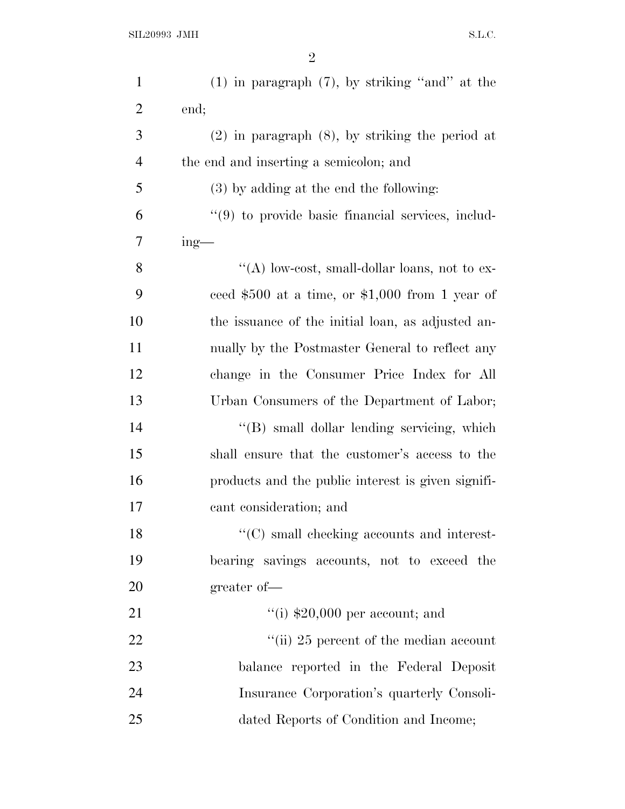| $\mathbf{1}$   | $(1)$ in paragraph $(7)$ , by striking "and" at the  |
|----------------|------------------------------------------------------|
| $\overline{2}$ | end;                                                 |
| 3              | $(2)$ in paragraph $(8)$ , by striking the period at |
| $\overline{4}$ | the end and inserting a semicolon; and               |
| 5              | $(3)$ by adding at the end the following:            |
| 6              | "(9) to provide basic financial services, includ-    |
| 7              | $ing$ —                                              |
| 8              | "(A) low-cost, small-dollar loans, not to ex-        |
| 9              | ceed $$500$ at a time, or $$1,000$ from 1 year of    |
| 10             | the issuance of the initial loan, as adjusted an-    |
| 11             | nually by the Postmaster General to reflect any      |
| 12             | change in the Consumer Price Index for All           |
| 13             | Urban Consumers of the Department of Labor;          |
| 14             | "(B) small dollar lending servicing, which           |
| 15             | shall ensure that the customer's access to the       |
| 16             | products and the public interest is given signifi-   |
| 17             | cant consideration; and                              |
| 18             | "(C) small checking accounts and interest-           |
| 19             | bearing savings accounts, not to exceed the          |
| 20             | greater of-                                          |
| 21             | "(i) $$20,000$ per account; and                      |
| 22             | "(ii) 25 percent of the median account               |
| 23             | balance reported in the Federal Deposit              |
| 24             | Insurance Corporation's quarterly Consoli-           |
| 25             | dated Reports of Condition and Income;               |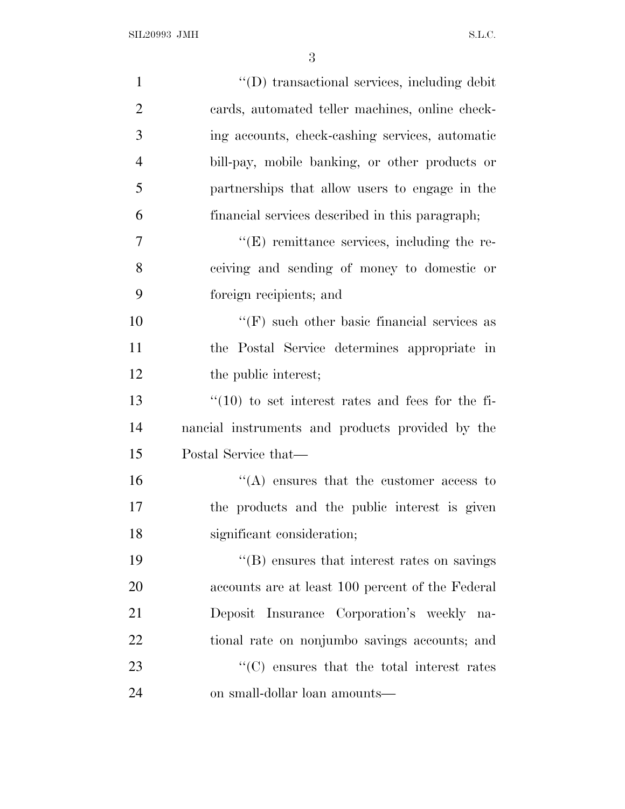| $\mathbf{1}$   | "(D) transactional services, including debit            |
|----------------|---------------------------------------------------------|
| $\overline{2}$ | cards, automated teller machines, online check-         |
| 3              | ing accounts, check-cashing services, automatic         |
| $\overline{4}$ | bill-pay, mobile banking, or other products or          |
| 5              | partnerships that allow users to engage in the          |
| 6              | financial services described in this paragraph;         |
| $\overline{7}$ | $\lq\lq(E)$ remittance services, including the re-      |
| 8              | ceiving and sending of money to domestic or             |
| 9              | foreign recipients; and                                 |
| 10             | $\lq\lq(F)$ such other basic financial services as      |
| 11             | the Postal Service determines appropriate in            |
| 12             | the public interest;                                    |
| 13             | $\cdot$ (10) to set interest rates and fees for the fi- |
| 14             | nancial instruments and products provided by the        |
| 15             | Postal Service that—                                    |
| 16             | $\lq\lq$ ensures that the customer access to            |
| 17             | the products and the public interest is given           |
| 18             | significant consideration;                              |
| 19             | "(B) ensures that interest rates on savings             |
| 20             | accounts are at least 100 percent of the Federal        |
| 21             | Deposit Insurance Corporation's weekly<br>na-           |
| 22             | tional rate on nonjumbo savings accounts; and           |
| 23             | "(C) ensures that the total interest rates              |
| 24             | on small-dollar loan amounts—                           |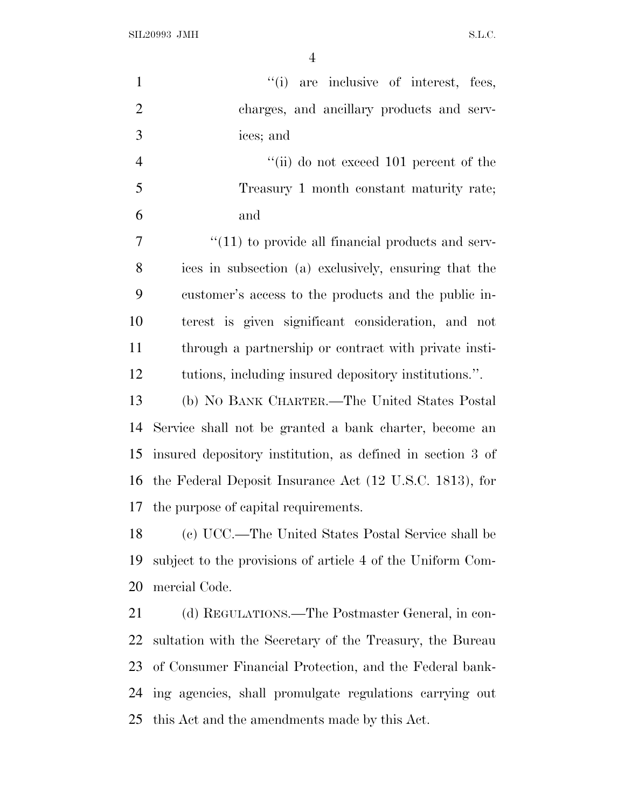SIL20993 JMH S.L.C.

| $\mathbf{1}$   | "(i) are inclusive of interest, fees,                      |
|----------------|------------------------------------------------------------|
| $\overline{2}$ | charges, and ancillary products and serv-                  |
| 3              | ices; and                                                  |
| $\overline{4}$ | "(ii) do not exceed 101 percent of the                     |
| 5              | Treasury 1 month constant maturity rate;                   |
| 6              | and                                                        |
| 7              | $``(11)$ to provide all financial products and serv-       |
| 8              | ices in subsection (a) exclusively, ensuring that the      |
| 9              | customer's access to the products and the public in-       |
| 10             | terest is given significant consideration, and not         |
| 11             | through a partnership or contract with private insti-      |
| 12             | tutions, including insured depository institutions.".      |
| 13             | (b) NO BANK CHARTER.—The United States Postal              |
| 14             | Service shall not be granted a bank charter, become an     |
| 15             | insured depository institution, as defined in section 3 of |
|                | 16 the Federal Deposit Insurance Act (12 U.S.C. 1813), for |
| 17             | the purpose of capital requirements.                       |
| 18             | (c) UCC.—The United States Postal Service shall be         |
| 19             | subject to the provisions of article 4 of the Uniform Com- |
| 20             | mercial Code.                                              |
| 21             | (d) REGULATIONS.—The Postmaster General, in con-           |
| 22             | sultation with the Secretary of the Treasury, the Bureau   |
| 23             | of Consumer Financial Protection, and the Federal bank-    |
| 24             | ing agencies, shall promulgate regulations carrying out    |
| 25             | this Act and the amendments made by this Act.              |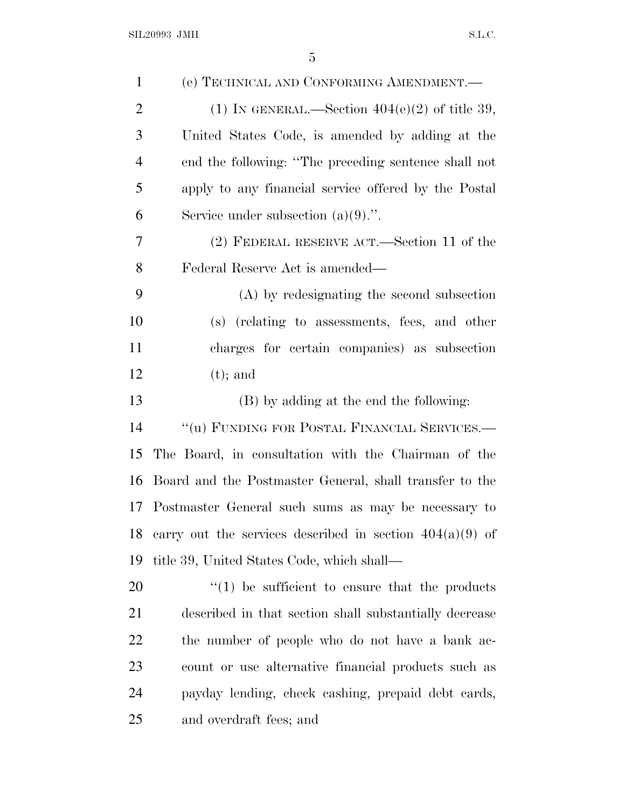| $\mathbf{1}$   | (e) TECHNICAL AND CONFORMING AMENDMENT.—                   |
|----------------|------------------------------------------------------------|
| $\overline{2}$ | (1) IN GENERAL.—Section $404(e)(2)$ of title 39,           |
| 3              | United States Code, is amended by adding at the            |
| $\overline{4}$ | end the following: "The preceding sentence shall not       |
| 5              | apply to any financial service offered by the Postal       |
| 6              | Service under subsection $(a)(9)$ .".                      |
| 7              | (2) FEDERAL RESERVE ACT.—Section 11 of the                 |
| 8              | Federal Reserve Act is amended—                            |
| 9              | (A) by redesignating the second subsection                 |
| 10             | (s) (relating to assessments, fees, and other              |
| 11             | charges for certain companies) as subsection               |
| 12             | $(t)$ ; and                                                |
| 13             | (B) by adding at the end the following:                    |
| 14             | "(u) FUNDING FOR POSTAL FINANCIAL SERVICES.-               |
| 15             | The Board, in consultation with the Chairman of the        |
| 16             | Board and the Postmaster General, shall transfer to the    |
| 17             | Postmaster General such sums as may be necessary to        |
| 18             | carry out the services described in section $404(a)(9)$ of |
| 19             | title 39, United States Code, which shall—                 |
| 20             | $\lq(1)$ be sufficient to ensure that the products         |
| 21             | described in that section shall substantially decrease     |
| <u>22</u>      | the number of people who do not have a bank ac-            |
| 23             | count or use alternative financial products such as        |
| 24             | payday lending, check cashing, prepaid debt cards,         |
| 25             | and overdraft fees; and                                    |